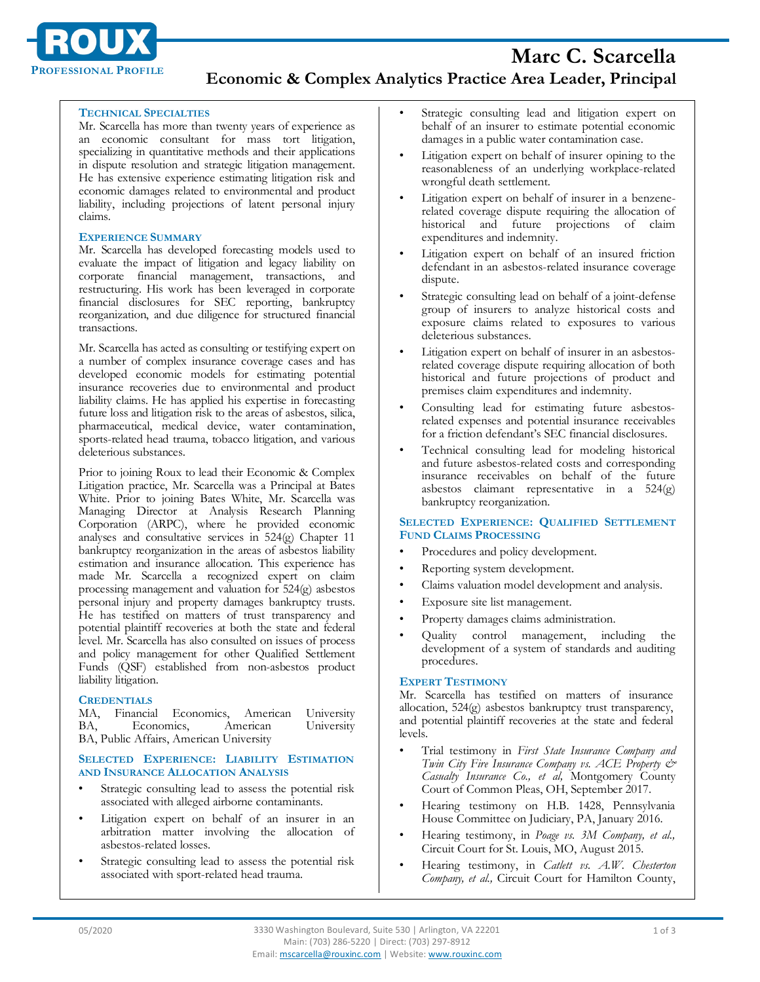

### **TECHNICAL SPECIALTIES**

Mr. Scarcella has more than twenty years of experience as an economic consultant for mass tort litigation, specializing in quantitative methods and their applications in dispute resolution and strategic litigation management. He has extensive experience estimating litigation risk and economic damages related to environmental and product liability, including projections of latent personal injury claims.

#### **EXPERIENCE SUMMARY**

Mr. Scarcella has developed forecasting models used to evaluate the impact of litigation and legacy liability on corporate financial management, transactions, and restructuring. His work has been leveraged in corporate financial disclosures for SEC reporting, bankruptcy reorganization, and due diligence for structured financial transactions.

Mr. Scarcella has acted as consulting or testifying expert on a number of complex insurance coverage cases and has developed economic models for estimating potential insurance recoveries due to environmental and product liability claims. He has applied his expertise in forecasting future loss and litigation risk to the areas of asbestos, silica, pharmaceutical, medical device, water contamination, sports-related head trauma, tobacco litigation, and various deleterious substances.

Prior to joining Roux to lead their Economic & Complex Litigation practice, Mr. Scarcella was a Principal at Bates White. Prior to joining Bates White, Mr. Scarcella was Managing Director at Analysis Research Planning Corporation (ARPC), where he provided economic analyses and consultative services in 524(g) Chapter 11 bankruptcy reorganization in the areas of asbestos liability estimation and insurance allocation. This experience has made Mr. Scarcella a recognized expert on claim processing management and valuation for 524(g) asbestos personal injury and property damages bankruptcy trusts. He has testified on matters of trust transparency and potential plaintiff recoveries at both the state and federal level. Mr. Scarcella has also consulted on issues of process and policy management for other Qualified Settlement Funds (QSF) established from non-asbestos product liability litigation.

### **CREDENTIALS**

|                                         |  | MA, Financial Economics, American University |  |  |
|-----------------------------------------|--|----------------------------------------------|--|--|
|                                         |  | BA, Economics, American University           |  |  |
| BA, Public Affairs, American University |  |                                              |  |  |

**SELECTED EXPERIENCE: LIABILITY ESTIMATION AND INSURANCE ALLOCATION ANALYSIS** 

- Strategic consulting lead to assess the potential risk associated with alleged airborne contaminants.
- Litigation expert on behalf of an insurer in an arbitration matter involving the allocation of asbestos-related losses.
- Strategic consulting lead to assess the potential risk associated with sport-related head trauma.
- Strategic consulting lead and litigation expert on behalf of an insurer to estimate potential economic damages in a public water contamination case.
- Litigation expert on behalf of insurer opining to the reasonableness of an underlying workplace-related wrongful death settlement.
- Litigation expert on behalf of insurer in a benzenerelated coverage dispute requiring the allocation of historical and future projections of claim expenditures and indemnity.
- Litigation expert on behalf of an insured friction defendant in an asbestos-related insurance coverage dispute.
- Strategic consulting lead on behalf of a joint-defense group of insurers to analyze historical costs and exposure claims related to exposures to various deleterious substances.
- Litigation expert on behalf of insurer in an asbestosrelated coverage dispute requiring allocation of both historical and future projections of product and premises claim expenditures and indemnity.
- Consulting lead for estimating future asbestosrelated expenses and potential insurance receivables for a friction defendant's SEC financial disclosures.
- Technical consulting lead for modeling historical and future asbestos-related costs and corresponding insurance receivables on behalf of the future asbestos claimant representative in a 524(g) bankruptcy reorganization.

## **SELECTED EXPERIENCE: QUALIFIED SETTLEMENT FUND CLAIMS PROCESSING**

- Procedures and policy development.
- Reporting system development.
- Claims valuation model development and analysis.
- Exposure site list management.
- Property damages claims administration.
- Quality control management, including the development of a system of standards and auditing procedures.

# **EXPERT TESTIMONY**

Mr. Scarcella has testified on matters of insurance allocation, 524(g) asbestos bankruptcy trust transparency, and potential plaintiff recoveries at the state and federal levels.

- Trial testimony in *First State Insurance Company and Twin City Fire Insurance Company vs. ACE Property & Casualty Insurance Co., et al,* Montgomery County Court of Common Pleas, OH, September 2017.
- Hearing testimony on H.B. 1428, Pennsylvania House Committee on Judiciary, PA, January 2016.
- Hearing testimony, in *Poage vs. 3M Company, et al.,* Circuit Court for St. Louis, MO, August 2015.
- Hearing testimony, in *Catlett vs. A.W. Chesterton Company, et al.,* Circuit Court for Hamilton County,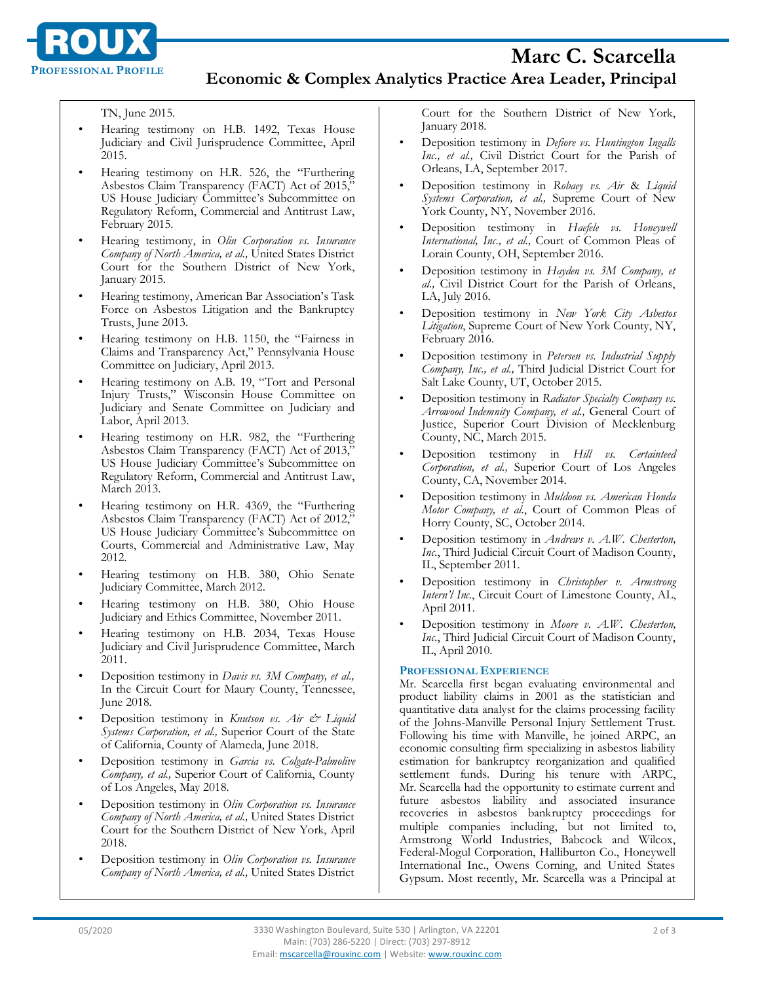

TN, June 2015.

- Hearing testimony on H.B. 1492, Texas House Judiciary and Civil Jurisprudence Committee, April 2015.
- Hearing testimony on H.R. 526, the "Furthering Asbestos Claim Transparency (FACT) Act of 2015," US House Judiciary Committee's Subcommittee on Regulatory Reform, Commercial and Antitrust Law, February 2015.
- Hearing testimony, in *Olin Corporation vs. Insurance Company of North America, et al.,* United States District Court for the Southern District of New York, January 2015.
- Hearing testimony, American Bar Association's Task Force on Asbestos Litigation and the Bankruptcy Trusts, June 2013.
- Hearing testimony on H.B. 1150, the "Fairness in Claims and Transparency Act," Pennsylvania House Committee on Judiciary, April 2013.
- Hearing testimony on A.B. 19, "Tort and Personal Injury Trusts," Wisconsin House Committee on Judiciary and Senate Committee on Judiciary and Labor, April 2013.
- Hearing testimony on H.R. 982, the "Furthering Asbestos Claim Transparency (FACT) Act of 2013, US House Judiciary Committee's Subcommittee on Regulatory Reform, Commercial and Antitrust Law, March 2013.
- Hearing testimony on H.R. 4369, the "Furthering Asbestos Claim Transparency (FACT) Act of 2012," US House Judiciary Committee's Subcommittee on Courts, Commercial and Administrative Law, May 2012.
- Hearing testimony on H.B. 380, Ohio Senate Judiciary Committee, March 2012.
- Hearing testimony on H.B. 380, Ohio House Judiciary and Ethics Committee, November 2011.
- Hearing testimony on H.B. 2034, Texas House Judiciary and Civil Jurisprudence Committee, March 2011.
- Deposition testimony in *Davis vs. 3M Company, et al.,* In the Circuit Court for Maury County, Tennessee, June 2018.
- Deposition testimony in *Knutson vs. Air & Liquid Systems Corporation, et al.,* Superior Court of the State of California, County of Alameda, June 2018.
- Deposition testimony in *Garcia vs. Colgate-Palmolive Company, et al.,* Superior Court of California, County of Los Angeles, May 2018.
- Deposition testimony in *Olin Corporation vs. Insurance Company of North America, et al.,* United States District Court for the Southern District of New York, April 2018.
- Deposition testimony in *Olin Corporation vs. Insurance Company of North America, et al.,* United States District

Court for the Southern District of New York, January 2018.

- Deposition testimony in *Defiore vs. Huntington Ingalls Inc., et al.,* Civil District Court for the Parish of Orleans, LA, September 2017.
- Deposition testimony in *Robaey vs. Air* & *Liquid Systems Corporation, et al.,* Supreme Court of New York County, NY, November 2016.
- Deposition testimony in *Haefele vs. Honeywell International, Inc., et al.,* Court of Common Pleas of Lorain County, OH, September 2016.
- Deposition testimony in *Hayden vs. 3M Company, et al.,* Civil District Court for the Parish of Orleans, LA, July 2016.
- Deposition testimony in *New York City Asbestos Litigation*, Supreme Court of New York County, NY, February 2016.
- Deposition testimony in *Petersen vs. Industrial Supply Company, Inc., et al.,* Third Judicial District Court for Salt Lake County, UT, October 2015.
- Deposition testimony in *Radiator Specialty Company vs. Arrowood Indemnity Company, et al.,* General Court of Justice, Superior Court Division of Mecklenburg County, NC, March 2015.
- Deposition testimony in *Hill vs. Certainteed Corporation, et al.,* Superior Court of Los Angeles County, CA, November 2014.
- Deposition testimony in *Muldoon vs. American Honda Motor Company, et al.*, Court of Common Pleas of Horry County, SC, October 2014.
- Deposition testimony in *Andrews v. A.W. Chesterton, Inc.*, Third Judicial Circuit Court of Madison County, IL, September 2011.
- Deposition testimony in *Christopher v. Armstrong Intern'l Inc.*, Circuit Court of Limestone County, AL, April 2011.
- Deposition testimony in *Moore v. A.W. Chesterton, Inc.*, Third Judicial Circuit Court of Madison County, IL, April 2010.

### **PROFESSIONAL EXPERIENCE**

Mr. Scarcella first began evaluating environmental and product liability claims in 2001 as the statistician and quantitative data analyst for the claims processing facility of the Johns-Manville Personal Injury Settlement Trust. Following his time with Manville, he joined ARPC, an economic consulting firm specializing in asbestos liability estimation for bankruptcy reorganization and qualified settlement funds. During his tenure with ARPC, Mr. Scarcella had the opportunity to estimate current and future asbestos liability and associated insurance recoveries in asbestos bankruptcy proceedings for multiple companies including, but not limited to, Armstrong World Industries, Babcock and Wilcox, Federal-Mogul Corporation, Halliburton Co., Honeywell International Inc., Owens Corning, and United States Gypsum. Most recently, Mr. Scarcella was a Principal at